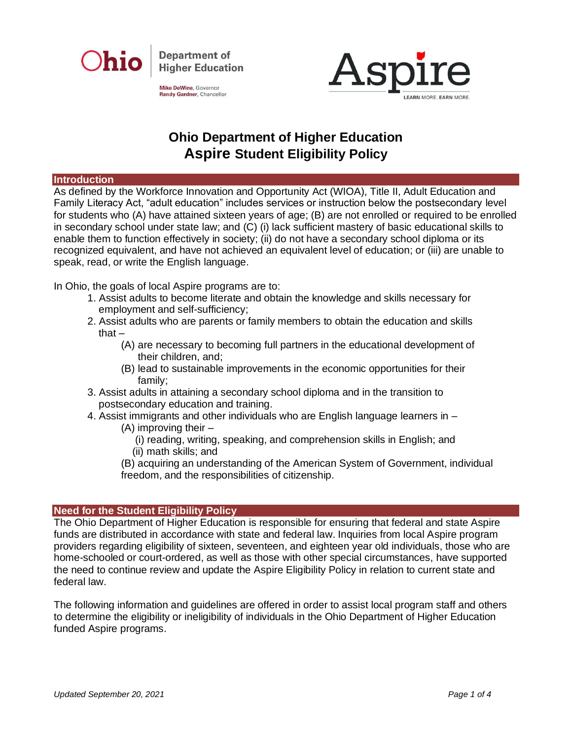

Mike DeWine, Governor Randy Gardner, Chancellor



# **Ohio Department of Higher Education Aspire Student Eligibility Policy**

#### **Introduction**

As defined by the Workforce Innovation and Opportunity Act (WIOA), Title II, Adult Education and Family Literacy Act, "adult education" includes services or instruction below the postsecondary level for students who (A) have attained sixteen years of age; (B) are not enrolled or required to be enrolled in secondary school under state law; and (C) (i) lack sufficient mastery of basic educational skills to enable them to function effectively in society; (ii) do not have a secondary school diploma or its recognized equivalent, and have not achieved an equivalent level of education; or (iii) are unable to speak, read, or write the English language.

In Ohio, the goals of local Aspire programs are to:

- 1. Assist adults to become literate and obtain the knowledge and skills necessary for employment and self-sufficiency;
- 2. Assist adults who are parents or family members to obtain the education and skills that $-$ 
	- (A) are necessary to becoming full partners in the educational development of their children, and;
	- (B) lead to sustainable improvements in the economic opportunities for their family;
- 3. Assist adults in attaining a secondary school diploma and in the transition to postsecondary education and training.
- 4. Assist immigrants and other individuals who are English language learners in
	- (A) improving their
		- (i) reading, writing, speaking, and comprehension skills in English; and (ii) math skills; and
	- (B) acquiring an understanding of the American System of Government, individual freedom, and the responsibilities of citizenship.

# **Need for the Student Eligibility Policy**

The Ohio Department of Higher Education is responsible for ensuring that federal and state Aspire funds are distributed in accordance with state and federal law. Inquiries from local Aspire program providers regarding eligibility of sixteen, seventeen, and eighteen year old individuals, those who are home-schooled or court-ordered, as well as those with other special circumstances, have supported the need to continue review and update the Aspire Eligibility Policy in relation to current state and federal law.

The following information and guidelines are offered in order to assist local program staff and others to determine the eligibility or ineligibility of individuals in the Ohio Department of Higher Education funded Aspire programs.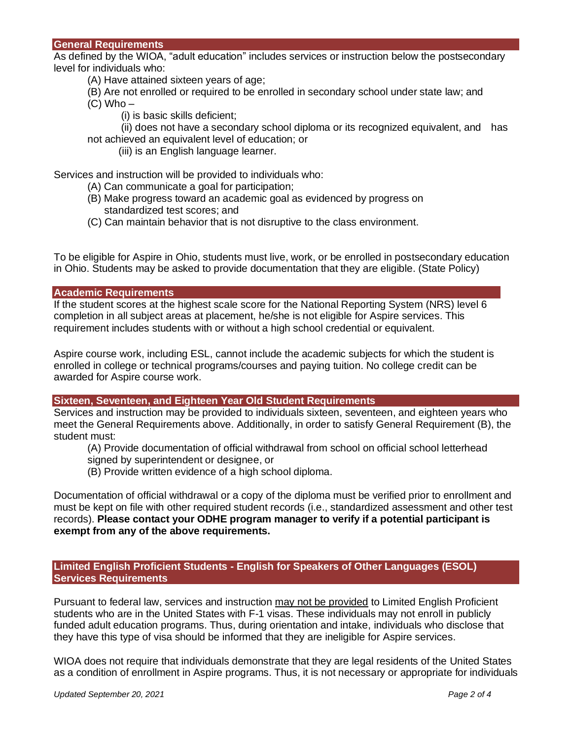#### **General Requirements**

As defined by the WIOA, "adult education" includes services or instruction below the postsecondary level for individuals who:

- (A) Have attained sixteen years of age;
- (B) Are not enrolled or required to be enrolled in secondary school under state law; and
- $(C)$  Who  $-$ 
	- (i) is basic skills deficient;

(ii) does not have a secondary school diploma or its recognized equivalent, and has not achieved an equivalent level of education; or

(iii) is an English language learner.

Services and instruction will be provided to individuals who:

- (A) Can communicate a goal for participation;
- (B) Make progress toward an academic goal as evidenced by progress on standardized test scores; and
- (C) Can maintain behavior that is not disruptive to the class environment.

To be eligible for Aspire in Ohio, students must live, work, or be enrolled in postsecondary education in Ohio. Students may be asked to provide documentation that they are eligible. (State Policy)

#### **Academic Requirements**

If the student scores at the highest scale score for the National Reporting System (NRS) level 6 completion in all subject areas at placement, he/she is not eligible for Aspire services. This requirement includes students with or without a high school credential or equivalent.

Aspire course work, including ESL, cannot include the academic subjects for which the student is enrolled in college or technical programs/courses and paying tuition. No college credit can be awarded for Aspire course work.

#### **Sixteen, Seventeen, and Eighteen Year Old Student Requirements**

Services and instruction may be provided to individuals sixteen, seventeen, and eighteen years who meet the General Requirements above. Additionally, in order to satisfy General Requirement (B), the student must:

(A) Provide documentation of official withdrawal from school on official school letterhead

signed by superintendent or designee, or

(B) Provide written evidence of a high school diploma.

Documentation of official withdrawal or a copy of the diploma must be verified prior to enrollment and must be kept on file with other required student records (i.e., standardized assessment and other test records). **Please contact your ODHE program manager to verify if a potential participant is exempt from any of the above requirements.** 

# **Limited English Proficient Students - English for Speakers of Other Languages (ESOL) Services Requirements**

Pursuant to federal law, services and instruction may not be provided to Limited English Proficient students who are in the United States with F-1 visas. These individuals may not enroll in publicly funded adult education programs. Thus, during orientation and intake, individuals who disclose that they have this type of visa should be informed that they are ineligible for Aspire services.

WIOA does not require that individuals demonstrate that they are legal residents of the United States as a condition of enrollment in Aspire programs. Thus, it is not necessary or appropriate for individuals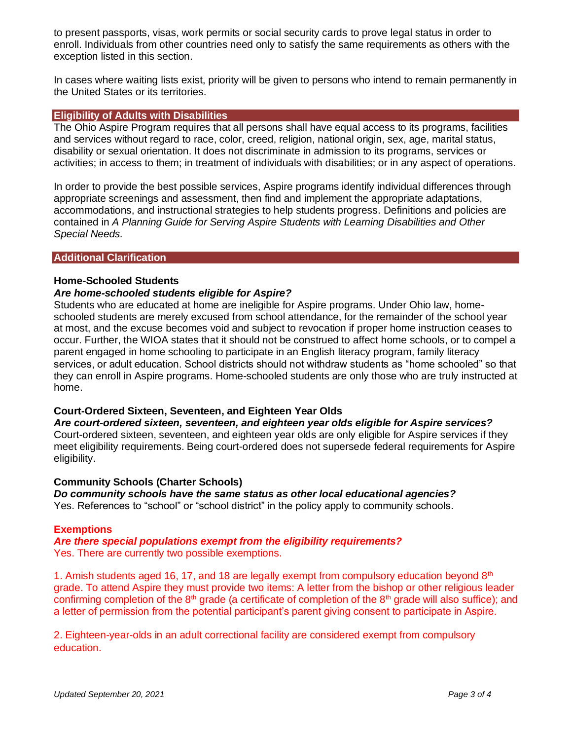to present passports, visas, work permits or social security cards to prove legal status in order to enroll. Individuals from other countries need only to satisfy the same requirements as others with the exception listed in this section.

In cases where waiting lists exist, priority will be given to persons who intend to remain permanently in the United States or its territories.

#### **Eligibility of Adults with Disabilities**

The Ohio Aspire Program requires that all persons shall have equal access to its programs, facilities and services without regard to race, color, creed, religion, national origin, sex, age, marital status, disability or sexual orientation. It does not discriminate in admission to its programs, services or activities; in access to them; in treatment of individuals with disabilities; or in any aspect of operations.

In order to provide the best possible services, Aspire programs identify individual differences through appropriate screenings and assessment, then find and implement the appropriate adaptations, accommodations, and instructional strategies to help students progress. Definitions and policies are contained in *A Planning Guide for Serving Aspire Students with Learning Disabilities and Other Special Needs.*

#### **Additional Clarification**

## **Home-Schooled Students**

#### *Are home-schooled students eligible for Aspire?*

Students who are educated at home are ineligible for Aspire programs. Under Ohio law, homeschooled students are merely excused from school attendance, for the remainder of the school year at most, and the excuse becomes void and subject to revocation if proper home instruction ceases to occur. Further, the WIOA states that it should not be construed to affect home schools, or to compel a parent engaged in home schooling to participate in an English literacy program, family literacy services, or adult education. School districts should not withdraw students as "home schooled" so that they can enroll in Aspire programs. Home-schooled students are only those who are truly instructed at home.

## **Court-Ordered Sixteen, Seventeen, and Eighteen Year Olds**

*Are court-ordered sixteen, seventeen, and eighteen year olds eligible for Aspire services?* Court-ordered sixteen, seventeen, and eighteen year olds are only eligible for Aspire services if they meet eligibility requirements. Being court-ordered does not supersede federal requirements for Aspire eligibility.

#### **Community Schools (Charter Schools)**

*Do community schools have the same status as other local educational agencies?* Yes. References to "school" or "school district" in the policy apply to community schools.

#### **Exemptions**

#### *Are there special populations exempt from the eligibility requirements?*  Yes. There are currently two possible exemptions.

1. Amish students aged 16, 17, and 18 are legally exempt from compulsory education beyond  $8<sup>th</sup>$ grade. To attend Aspire they must provide two items: A letter from the bishop or other religious leader confirming completion of the 8<sup>th</sup> grade (a certificate of completion of the 8<sup>th</sup> grade will also suffice); and a letter of permission from the potential participant's parent giving consent to participate in Aspire.

2. Eighteen-year-olds in an adult correctional facility are considered exempt from compulsory education.